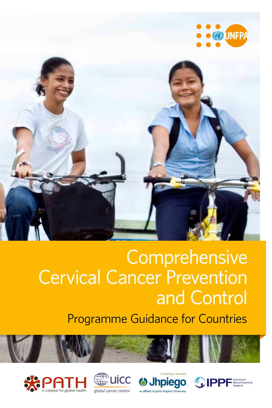



# Comprehensive Cervical Cancer Prevention and Control

Programme Guidance for Countries







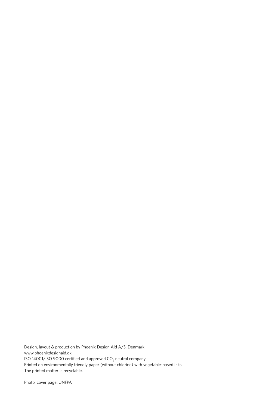Design, layout & production by Phoenix Design Aid A/S, Denmark. www.phoenixdesignaid.dk ISO 14001/ISO 9000 certified and approved  $CO_2$  neutral company. Printed on environmentally friendly paper (without chlorine) with vegetable-based inks. The printed matter is recyclable.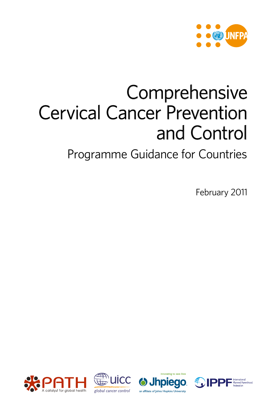

# **Comprehensive** Cervical Cancer Prevention and Control

Programme Guidance for Countries

February 2011







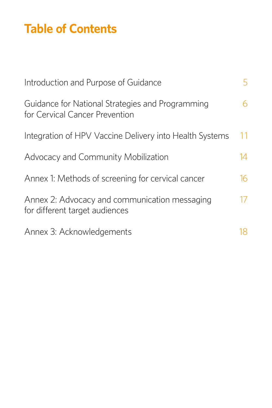## **Table of Contents**

| Introduction and Purpose of Guidance                                               | 5   |
|------------------------------------------------------------------------------------|-----|
| Guidance for National Strategies and Programming<br>for Cervical Cancer Prevention | 6   |
| Integration of HPV Vaccine Delivery into Health Systems                            | 11  |
| Advocacy and Community Mobilization                                                | 14  |
| Annex 1: Methods of screening for cervical cancer                                  | 16  |
| Annex 2: Advocacy and communication messaging<br>for different target audiences    | 17  |
| Annex 3: Acknowledgements                                                          | 18. |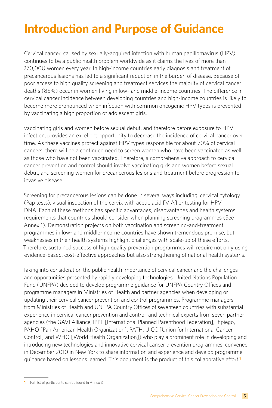## **Introduction and Purpose of Guidance**

Cervical cancer, caused by sexually-acquired infection with human papillomavirus (HPV), continues to be a public health problem worldwide as it claims the lives of more than 270,000 women every year. In high-income countries early diagnosis and treatment of precancerous lesions has led to a significant reduction in the burden of disease. Because of poor access to high quality screening and treatment services the majority of cervical cancer deaths (85%) occur in women living in low- and middle-income countries. The difference in cervical cancer incidence between developing countries and high-income countries is likely to become more pronounced when infection with common oncogenic HPV types is prevented by vaccinating a high proportion of adolescent girls.

Vaccinating girls and women before sexual debut, and therefore before exposure to HPV infection, provides an excellent opportunity to decrease the incidence of cervical cancer over time. As these vaccines protect against HPV types responsible for about 70% of cervical cancers, there will be a continued need to screen women who have been vaccinated as well as those who have not been vaccinated. Therefore, a comprehensive approach to cervical cancer prevention and control should involve vaccinating girls and women before sexual debut, and screening women for precancerous lesions and treatment before progression to invasive disease.

Screening for precancerous lesions can be done in several ways including, cervical cytology (Pap tests), visual inspection of the cervix with acetic acid [VIA] or testing for HPV DNA. Each of these methods has specific advantages, disadvantages and health systems requirements that countries should consider when planning screening programmes (See Annex 1). Demonstration projects on both vaccination and screening-and-treatment programmes in low- and middle-income countries have shown tremendous promise, but weaknesses in their health systems highlight challenges with scale-up of these efforts. Therefore, sustained success of high quality prevention programmes will require not only using evidence-based, cost-effective approaches but also strengthening of national health systems.

Taking into consideration the public health importance of cervical cancer and the challenges and opportunities presented by rapidly developing technologies, United Nations Population Fund (UNFPA) decided to develop programme guidance for UNFPA Country Offices and programme managers in Ministries of Health and partner agencies when developing or updating their cervical cancer prevention and control programmes. Programme managers from Ministries of Health and UNFPA Country Offices of seventeen countries with substantial experience in cervical cancer prevention and control, and technical experts from seven partner agencies (the GAVI Alliance, IPPF [International Planned Parenthood Federation], Jhpiego, PAHO [Pan American Health Organization], PATH, UICC [Union for International Cancer Control] and WHO [World Health Organization]) who play a prominent role in developing and introducing new technologies and innovative cervical cancer prevention programmes, convened in December 2010 in New York to share information and experience and develop programme guidance based on lessons learned. This document is the product of this collaborative effort.**<sup>1</sup>**

**<sup>1</sup>** Full list of participants can be found in Annex 3.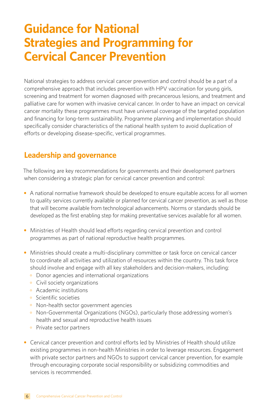## **Guidance for National Strategies and Programming for Cervical Cancer Prevention**

National strategies to address cervical cancer prevention and control should be a part of a comprehensive approach that includes prevention with HPV vaccination for young girls, screening and treatment for women diagnosed with precancerous lesions, and treatment and palliative care for women with invasive cervical cancer. In order to have an impact on cervical cancer mortality these programmes must have universal coverage of the targeted population and financing for long-term sustainability. Programme planning and implementation should specifically consider characteristics of the national health system to avoid duplication of efforts or developing disease-specific, vertical programmes.

### **Leadership and governance**

The following are key recommendations for governments and their development partners when considering a strategic plan for cervical cancer prevention and control:

- A national normative framework should be developed to ensure equitable access for all women to quality services currently available or planned for cervical cancer prevention, as well as those that will become available from technological advancements. Norms or standards should be developed as the first enabling step for making preventative services available for all women.
- **•** Ministries of Health should lead efforts regarding cervical prevention and control programmes as part of national reproductive health programmes.
- Ministries should create a multi-disciplinary committee or task force on cervical cancer to coordinate all activities and utilization of resources within the country. This task force should involve and engage with all key stakeholders and decision-makers, including:
	- ° Donor agencies and international organizations
	- ° Civil society organizations
	- ° Academic institutions
	- ° Scientific societies
	- ° Non-health sector government agencies
	- ° Non-Governmental Organizations (NGOs), particularly those addressing women's health and sexual and reproductive health issues
	- Private sector partners
- Cervical cancer prevention and control efforts led by Ministries of Health should utilize existing programmes in non-health Ministries in order to leverage resources. Engagement with private sector partners and NGOs to support cervical cancer prevention, for example through encouraging corporate social responsibility or subsidizing commodities and services is recommended.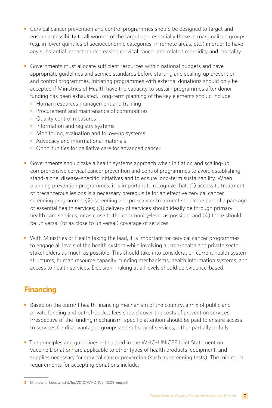- **•** Cervical cancer prevention and control programmes should be designed to target and ensure accessibility to all women of the target age, especially those in marginalized groups (e.g. in lower quintiles of socioeconomic categories, in remote areas, etc.) in order to have any substantial impact on decreasing cervical cancer and related morbidity and mortality.
- **•** Governments must allocate sufficient resources within national budgets and have appropriate guidelines and service standards before starting and scaling-up prevention and control programmes. Initiating programmes with external donations should only be accepted if Ministries of Health have the capacity to sustain programmes after donor funding has been exhausted. Long-term planning of the key elements should include:
	- ° Human resources management and training
	- ° Procurement and maintenance of commodities
	- ° Quality control measures
	- Information and registry systems
	- ° Monitoring, evaluation and follow-up systems
	- ° Advocacy and informational materials
	- ° Opportunities for palliative care for advanced cancer
- **•** Governments should take a health systems approach when initiating and scaling-up comprehensive cervical cancer prevention and control programmes to avoid establishing stand-alone, disease-specific initiatives and to ensure long-term sustainability. When planning prevention programmes, it is important to recognize that: (1) access to treatment of precancerous lesions is a necessary prerequisite for an effective cervical cancer screening programme; (2) screening and pre-cancer treatment should be part of a package of essential health services; (3) delivery of services should ideally be through primary health care services, or as close to the community-level as possible; and (4) there should be universal (or as close to universal) coverage of services.
- With Ministries of Health taking the lead, it is important for cervical cancer programmes to engage all levels of the health system while involving all non-health and private sector stakeholders as much as possible. This should take into consideration current health system structures, human resource capacity, funding mechanisms, health information systems, and access to health services. Decision-making at all levels should be evidence-based.

## **Financing**

- **•** Based on the current health financing mechanism of the country, a mix of public and private funding and out-of-pocket fees should cover the costs of prevention services. Irrespective of the funding mechanism, specific attention should be paid to ensure access to services for disadvantaged groups and subsidy of services, either partially or fully.
- **•** The principles and guidelines articulated in the WHO-UNICEF Joint Statement on Vaccine Donation**2** are applicable to other types of health products, equipment, and supplies necessary for cervical cancer prevention (such as screening tests). The minimum requirements for accepting donations include:

**<sup>2</sup>** http://whqlibdoc.who.int/hq/2010/WHO\_IVB\_10.09\_eng.pdf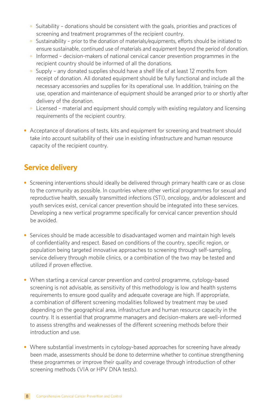- ° Suitability donations should be consistent with the goals, priorities and practices of screening and treatment programmes of the recipient country.
- ° Sustainability prior to the donation of materials/equipments, efforts should be initiated to ensure sustainable, continued use of materials and equipment beyond the period of donation.
- ° Informed decision-makers of national cervical cancer prevention programmes in the recipient country should be informed of all the donations.
- ° Supply any donated supplies should have a shelf life of at least 12 months from receipt of donation. All donated equipment should be fully functional and include all the necessary accessories and supplies for its operational use. In addition, training on the use, operation and maintenance of equipment should be arranged prior to or shortly after delivery of the donation.
- ° Licensed material and equipment should comply with existing regulatory and licensing requirements of the recipient country.
- Acceptance of donations of tests, kits and equipment for screening and treatment should take into account suitability of their use in existing infrastructure and human resource capacity of the recipient country.

## **Service delivery**

- Screening interventions should ideally be delivered through primary health care or as close to the community as possible. In countries where other vertical programmes for sexual and reproductive health, sexually transmitted infections (STI), oncology, and/or adolescent and youth services exist, cervical cancer prevention should be integrated into these services. Developing a new vertical programme specifically for cervical cancer prevention should be avoided.
- Services should be made accessible to disadvantaged women and maintain high levels of confidentiality and respect. Based on conditions of the country, specific region, or population being targeted innovative approaches to screening through self-sampling, service delivery through mobile clinics, or a combination of the two may be tested and utilized if proven effective.
- **•** When starting a cervical cancer prevention and control programme, cytology-based screening is not advisable, as sensitivity of this methodology is low and health systems requirements to ensure good quality and adequate coverage are high. If appropriate, a combination of different screening modalities followed by treatment may be used depending on the geographical area, infrastructure and human resource capacity in the country. It is essential that programme managers and decision-makers are well-informed to assess strengths and weaknesses of the different screening methods before their introduction and use.
- **•** Where substantial investments in cytology-based approaches for screening have already been made, assessments should be done to determine whether to continue strengthening these programmes or improve their quality and coverage through introduction of other screening methods (VIA or HPV DNA tests).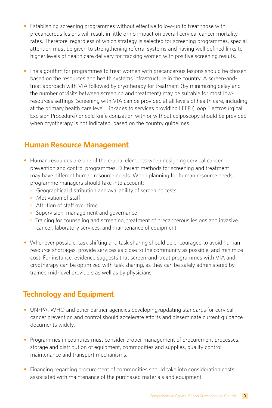- **•** Establishing screening programmes without effective follow-up to treat those with precancerous lesions will result in little or no impact on overall cervical cancer mortality rates. Therefore, regardless of which strategy is selected for screening programmes, special attention must be given to strengthening referral systems and having well defined links to higher levels of health care delivery for tracking women with positive screening results.
- The algorithm for programmes to treat women with precancerous lesions should be chosen based on the resources and health systems infrastructure in the country. A screen-andtreat approach with VIA followed by cryotherapy for treatment (by minimizing delay and the number of visits between screening and treatment) may be suitable for most lowresources settings. Screening with VIA can be provided at all levels of health care, including at the primary health care level. Linkages to services providing LEEP (Loop Electrosurgical Excision Procedure) or cold knife conization with or without colposcopy should be provided when cryotherapy is not indicated, based on the country quidelines.

### **Human Resource Management**

- **•** Human resources are one of the crucial elements when designing cervical cancer prevention and control programmes. Different methods for screening and treatment may have different human resource needs. When planning for human resource needs, programme managers should take into account:
	- ° Geographical distribution and availability of screening tests
	- ° Motivation of staff
	- ° Attrition of staff over time
	- ° Supervision, management and governance
	- ° Training for counseling and screening, treatment of precancerous lesions and invasive cancer, laboratory services, and maintenance of equipment
- Whenever possible, task shifting and task sharing should be encouraged to avoid human resource shortages, provide services as close to the community as possible, and minimize cost. For instance, evidence suggests that screen-and-treat programmes with VIA and cryotherapy can be optimized with task sharing, as they can be safely administered by trained mid-level providers as well as by physicians.

## **Technology and Equipment**

- **•** UNFPA, WHO and other partner agencies developing/updating standards for cervical cancer prevention and control should accelerate efforts and disseminate current guidance documents widely.
- Programmes in countries must consider proper management of procurement processes, storage and distribution of equipment, commodities and supplies, quality control, maintenance and transport mechanisms.
- Financing regarding procurement of commodities should take into consideration costs associated with maintenance of the purchased materials and equipment.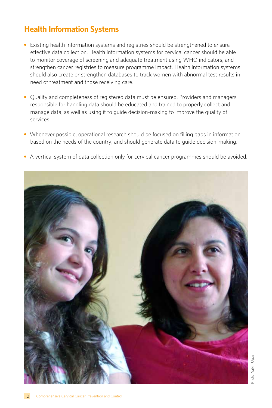## **Health Information Systems**

- Existing health information systems and registries should be strengthened to ensure effective data collection. Health information systems for cervical cancer should be able to monitor coverage of screening and adequate treatment using WHO indicators, and strengthen cancer registries to measure programme impact. Health information systems should also create or strengthen databases to track women with abnormal test results in need of treatment and those receiving care.
- **•** Quality and completeness of registered data must be ensured. Providers and managers responsible for handling data should be educated and trained to properly collect and manage data, as well as using it to guide decision-making to improve the quality of services.
- Whenever possible, operational research should be focused on filling gaps in information based on the needs of the country, and should generate data to guide decision-making.
- A vertical system of data collection only for cervical cancer programmes should be avoided.

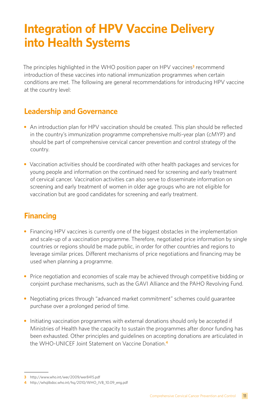## **Integration of HPV Vaccine Delivery into Health Systems**

The principles highlighted in the WHO position paper on HPV vaccines**3** recommend introduction of these vaccines into national immunization programmes when certain conditions are met. The following are general recommendations for introducing HPV vaccine at the country level:

### **Leadership and Governance**

- An introduction plan for HPV vaccination should be created. This plan should be reflected in the country's immunization programme comprehensive multi-year plan (cMYP) and should be part of comprehensive cervical cancer prevention and control strategy of the country.
- **•** Vaccination activities should be coordinated with other health packages and services for young people and information on the continued need for screening and early treatment of cervical cancer. Vaccination activities can also serve to disseminate information on screening and early treatment of women in older age groups who are not eligible for vaccination but are good candidates for screening and early treatment.

## **Financing**

- Financing HPV vaccines is currently one of the biggest obstacles in the implementation and scale-up of a vaccination programme. Therefore, negotiated price information by single countries or regions should be made public, in order for other countries and regions to leverage similar prices. Different mechanisms of price negotiations and financing may be used when planning a programme.
- Price negotiation and economies of scale may be achieved through competitive bidding or conjoint purchase mechanisms, such as the GAVI Alliance and the PAHO Revolving Fund.
- **•** Negotiating prices through "advanced market commitment" schemes could guarantee purchase over a prolonged period of time.
- **•** Initiating vaccination programmes with external donations should only be accepted if Ministries of Health have the capacity to sustain the programmes after donor funding has been exhausted. Other principles and guidelines on accepting donations are articulated in the WHO-UNICEF Joint Statement on Vaccine Donation.**<sup>4</sup>**

**<sup>3</sup>** http://www.who.int/wer/2009/wer8415.pdf

**<sup>4</sup>** http://whqlibdoc.who.int/hq/2010/WHO\_IVB\_10.09\_eng.pdf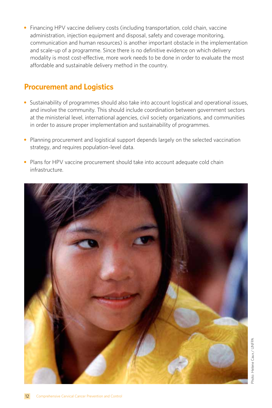**•** Financing HPV vaccine delivery costs (including transportation, cold chain, vaccine administration, injection equipment and disposal, safety and coverage monitoring, communication and human resources) is another important obstacle in the implementation and scale-up of a programme. Since there is no definitive evidence on which delivery modality is most cost-effective, more work needs to be done in order to evaluate the most affordable and sustainable delivery method in the country.

### **Procurement and Logistics**

- Sustainability of programmes should also take into account logistical and operational issues, and involve the community. This should include coordination between government sectors at the ministerial level, international agencies, civil society organizations, and communities in order to assure proper implementation and sustainability of programmes.
- Planning procurement and logistical support depends largely on the selected vaccination strategy, and requires population-level data.
- **•** Plans for HPV vaccine procurement should take into account adequate cold chain infrastructure.

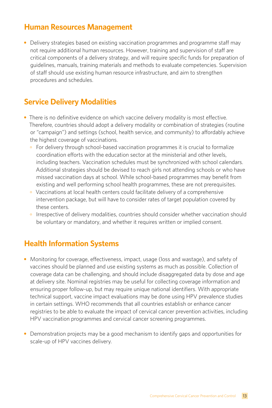### **Human Resources Management**

• Delivery strategies based on existing vaccination programmes and programme staff may not require additional human resources. However, training and supervision of staff are critical components of a delivery strategy, and will require specific funds for preparation of guidelines, manuals, training materials and methods to evaluate competencies. Supervision of staff should use existing human resource infrastructure, and aim to strengthen procedures and schedules.

## **Service Delivery Modalities**

- **•** There is no definitive evidence on which vaccine delivery modality is most effective. Therefore, countries should adopt a delivery modality or combination of strategies (routine or "campaign") and settings (school, health service, and community) to affordably achieve the highest coverage of vaccinations.
	- ° For delivery through school-based vaccination programmes it is crucial to formalize coordination efforts with the education sector at the ministerial and other levels, including teachers. Vaccination schedules must be synchronized with school calendars. Additional strategies should be devised to reach girls not attending schools or who have missed vaccination days at school. While school-based programmes may benefit from existing and well performing school health programmes, these are not prerequisites.
	- ° Vaccinations at local health centers could facilitate delivery of a comprehensive intervention package, but will have to consider rates of target population covered by these centers.
	- ° Irrespective of delivery modalities, countries should consider whether vaccination should be voluntary or mandatory, and whether it requires written or implied consent.

### **Health Information Systems**

- **•** Monitoring for coverage, effectiveness, impact, usage (loss and wastage), and safety of vaccines should be planned and use existing systems as much as possible. Collection of coverage data can be challenging, and should include disaggregated data by dose and age at delivery site. Nominal registries may be useful for collecting coverage information and ensuring proper follow-up, but may require unique national identifiers. With appropriate technical support, vaccine impact evaluations may be done using HPV prevalence studies in certain settings. WHO recommends that all countries establish or enhance cancer registries to be able to evaluate the impact of cervical cancer prevention activities, including HPV vaccination programmes and cervical cancer screening programmes.
- **•** Demonstration projects may be a good mechanism to identify gaps and opportunities for scale-up of HPV vaccines delivery.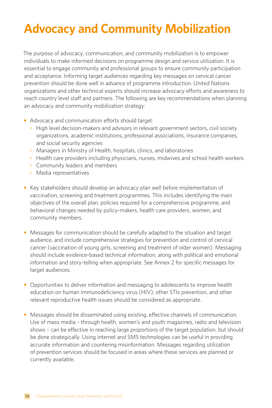## **Advocacy and Community Mobilization**

The purpose of advocacy, communication, and community mobilization is to empower individuals to make informed decisions on programme design and service utilization. It is essential to engage community and professional groups to ensure community participation and acceptance. Informing target audiences regarding key messages on cervical cancer prevention should be done well in advance of programme introduction. United Nations organizations and other technical experts should increase advocacy efforts and awareness to reach country level staff and partners. The following are key recommendations when planning an advocacy and community mobilization strategy:

- **•** Advocacy and communication efforts should target:
	- ° High level decision-makers and advisors in relevant government sectors, civil society organizations, academic institutions, professional associations, insurance companies, and social security agencies
	- ° Managers in Ministry of Health, hospitals, clinics, and laboratories
	- ° Health care providers including physicians, nurses, midwives and school health workers
	- ° Community leaders and members
	- Media representatives
- **•** Key stakeholders should develop an advocacy plan well before implementation of vaccination, screening and treatment programmes. This includes identifying the main objectives of the overall plan, policies required for a comprehensive programme, and behavioral changes needed by policy-makers, health care providers, women, and community members.
- **•** Messages for communication should be carefully adapted to the situation and target audience, and include comprehensive strategies for prevention and control of cervical cancer (vaccination of young girls, screening and treatment of older women). Messaging should include evidence-based technical information, along with political and emotional information and story-telling when appropriate. See Annex 2 for specific messages for target audiences.
- **•** Opportunities to deliver information and messaging to adolescents to improve health education on human immunodeficiency virus (HIV), other STIs prevention, and other relevant reproductive health issues should be considered as appropriate.
- **•** Messages should be disseminated using existing, effective channels of communication. Use of mass media – through health, women's and youth magazines, radio and television shows – can be effective in reaching large proportions of the target population, but should be done strategically. Using internet and SMS technologies can be useful in providing accurate information and countering misinformation. Messages regarding utilization of prevention services should be focused in areas where these services are planned or currently available.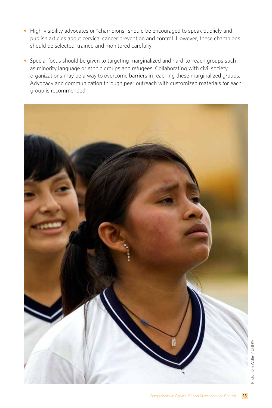- **•** High-visibility advocates or "champions" should be encouraged to speak publicly and publish articles about cervical cancer prevention and control. However, these champions should be selected, trained and monitored carefully.
- **•** Special focus should be given to targeting marginalized and hard-to-reach groups such as minority language or ethnic groups and refugees. Collaborating with civil society organizations may be a way to overcome barriers in reaching these marginalized groups. Advocacy and communication through peer outreach with customized materials for each group is recommended.

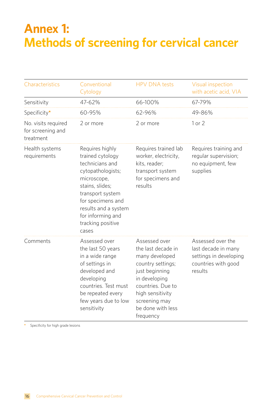## **Annex 1: Methods of screening for cervical cancer**

| Characteristics                                       | Conventional<br>Cytology                                                                                                                                                                                                          | <b>HPV DNA tests</b>                                                                                                                                                                                      | Visual inspection<br>with acetic acid, VIA                                                           |
|-------------------------------------------------------|-----------------------------------------------------------------------------------------------------------------------------------------------------------------------------------------------------------------------------------|-----------------------------------------------------------------------------------------------------------------------------------------------------------------------------------------------------------|------------------------------------------------------------------------------------------------------|
| Sensitivity                                           | 47-62%                                                                                                                                                                                                                            | 66-100%                                                                                                                                                                                                   | 67-79%                                                                                               |
| Specificity*                                          | 60-95%                                                                                                                                                                                                                            | 62-96%                                                                                                                                                                                                    | 49-86%                                                                                               |
| No. visits required<br>for screening and<br>treatment | 2 or more                                                                                                                                                                                                                         | 2 or more                                                                                                                                                                                                 | 1 or 2                                                                                               |
| Health systems<br>requirements                        | Requires highly<br>trained cytology<br>technicians and<br>cytopathologists;<br>microscope,<br>stains, slides;<br>transport system<br>for specimens and<br>results and a system<br>for informing and<br>tracking positive<br>cases | Requires trained lab<br>worker, electricity,<br>kits, reader;<br>transport system<br>for specimens and<br>results                                                                                         | Requires training and<br>regular supervision;<br>no equipment, few<br>supplies                       |
| Comments                                              | Assessed over<br>the last 50 years<br>in a wide range<br>of settings in<br>developed and<br>developing<br>countries. Test must<br>be repeated every<br>few years due to low<br>sensitivity                                        | Assessed over<br>the last decade in<br>many developed<br>country settings;<br>just beginning<br>in developing<br>countries. Due to<br>high sensitivity<br>screening may<br>be done with less<br>frequency | Assessed over the<br>last decade in many<br>settings in developing<br>countries with good<br>results |

**\*** Specificity for high grade lesions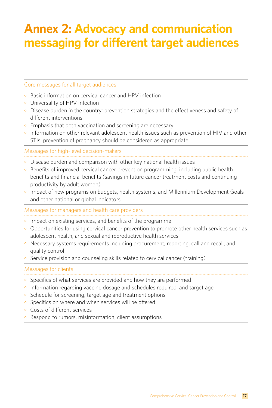## **Annex 2: Advocacy and communication messaging for different target audiences**

#### Core messages for all target audiences

- ° Basic information on cervical cancer and HPV infection
- ° Universality of HPV infection
- ° Disease burden in the country; prevention strategies and the effectiveness and safety of different interventions
- Emphasis that both vaccination and screening are necessary
- ° Information on other relevant adolescent health issues such as prevention of HIV and other STIs, prevention of pregnancy should be considered as appropriate

#### Messages for high-level decision-makers

- ° Disease burden and comparison with other key national health issues
- ° Benefits of improved cervical cancer prevention programming, including public health benefits and financial benefits (savings in future cancer treatment costs and continuing productivity by adult women)
- ° Impact of new programs on budgets, health systems, and Millennium Development Goals and other national or global indicators

#### Messages for managers and health care providers

- Impact on existing services, and benefits of the programme
- ° Opportunities for using cervical cancer prevention to promote other health services such as adolescent health, and sexual and reproductive health services
- ° Necessary systems requirements including procurement, reporting, call and recall, and quality control
- ° Service provision and counseling skills related to cervical cancer (training)

#### Messages for clients

- Specifics of what services are provided and how they are performed
- ° Information regarding vaccine dosage and schedules required, and target age
- ° Schedule for screening, target age and treatment options
- ° Specifics on where and when services will be offered
- ° Costs of different services
- ° Respond to rumors, misinformation, client assumptions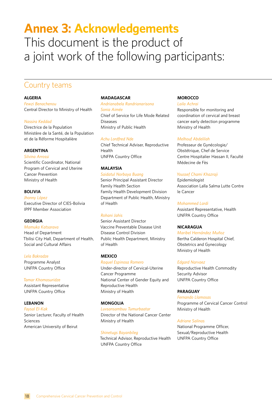## **Annex 3: Acknowledgements** This document is the product of a joint work of the following participants:

### Country teams

#### **ALGERIA**

*Fewzi Benachenou* Central Director to Ministry of Health

#### *Nassira Keddad*

Directrice de la Population Ministère de la Santé, de la Population et de la Réforme Hospitalière

#### **ARGENTINA**

*Silvina Arrossi*

Scientific Coordinator, National Program of Cervical and Uterine Cancer Prevention Ministry of Health

#### **BOLIVIA**

*Jhonny López* Executive Director of CIES-Bolivia IPPF Member Association

#### **GEORGIA**

*Mamuka Katsarava* Head of Department Tbilisi City Hall, Department of Health, Social and Cultural Affairs

#### *Lela Bakradze*

Programme Analyst UNFPA Country Office

#### *Tamar Khomasuridze*

Assistant Representative UNFPA Country Office

#### **LEBANON**

*Faysal El-Kak*  Senior Lecturer, Faculty of Health Sciences American University of Beirut

#### **MADAGASCAR**

*Andrianabela Randrianarisona Sonia Aimée* Chief of Service for Life Mode Related Diseases Ministry of Public Health

#### *Achu Lordfred Nde*

Chief Technical Adviser, Reproductive Health UNFPA Country Office

#### **MALAYSIA**

*Saidatul Norbaya Buang* Senior Principal Assistant Director Family Health Section Family Health Development Division Department of Public Health, Ministry of Health

#### *Rohani Jahis*

Senior Assistant Director Vaccine Preventable Disease Unit Disease Control Division Public Health Department, Ministry of Health

#### **MEXICO**

*Raquel Espinosa Romero* Under-director of Cervical-Uterine Cancer Programme National Center of Gender Equity and Reproductive Health Ministry of Health

#### **MONGOLIA**

*Luvsansambuu Tumurbaatar*

Director of the National Cancer Center Ministry of Health

#### *Shinetugs Bayanbileg*

Technical Advisor, Reproductive Health UNFPA Country Office

#### **MOROCCO**

*Laila Achrai* Responsible for monitoring and coordination of cervical and breast cancer early detection programme Ministry of Health

#### *Melhouf Abdelilah*

Professeur de Gynécologie/ Obstétrique, Chef de Service Centre Hospitalier Hassan II, Faculté Médecine de Fès

#### *Youssef Chami Khazraji*

Epidemiologist Association Lalla Salma Lutte Contre le Cancer

#### *Mohammed Lardi*

Assistant Representative, Health UNFPA Country Office

#### **NICARAGUA**

#### *Maribel Hernández Muñoz*

Bertha Calderon Hospital Chief, Obstetrics and Gynecology Ministry of Health

#### *Edgard Narvaez*

Reproductive Health Commodity Security Advisor UNFPA Country Office

#### **PARAGUAY**

*Fernando Llamosas* Programme of Cervical Cancer Control Ministry of Health

#### *Adriane Salinas*

National Programme Officer, Sexual/Reproductive Health UNFPA Country Office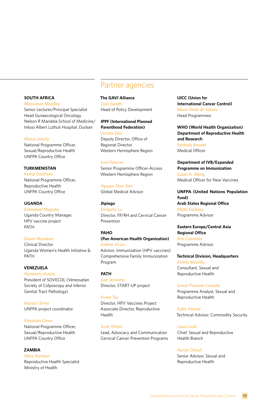#### **SOUTH AFRICA**

*Manivasan Moodley*

Senior Lecturer/Principal Specialist Head Gynaecological Oncology Nelson R Mandela School of Medicine/ Inkosi Albert Luthuli Hospital, Durban

#### *Meisie Lerutla*

National Programme Officer, Sexual/Reproductive Health UNFPA Country Office

#### **TURKMENISTAN**

*Kemal Goshliyev* National Programme Officer, Reproductive Health UNFPA Country Office

#### **UGANDA**

*Emmanuel Mugisha* Uganda Country Manager, HPV vaccine project PATH

#### *Daniel Murokora*

Clinical Director Uganda Women's Health Initiative & PATH

#### **VENEZUELA**

*Humberto Acosta* President of SOVECOL (Venezuelan Society of Colposcopy and Inferior Genital Tract Pathology)

*Marisol Torres* UNFPA project coordinator

#### *Alejandra Corao*

National Programme Officer, Sexual/Reproductive Health UNFPA Country Office

#### **ZAMBIA**

*Mary Nambao* Reproductive Health Specialist Ministry of Health

### Partner agencies

#### **The GAVI Alliance**

*Gian Gandhi* Head of Policy Development

#### **IPPF (International Planned Parenthood Federation)**

*Vicente Díaz* Deputy Director, Office of Regional Director Western Hemisphere Region

#### *Ivan Palacios*

Senior Programme Officer-Access Western Hemisphere Region

*Nguyen-Toan Tran* Global Medical Advisor

**Jhpiego** *Enriquito Lu* Director, FP/RH and Cervical Cancer Prevention

#### **PAHO**

#### **(Pan American Health Organization)** *Andrea Vicari*

Advisor, Immunization (HPV vaccines) Comprehensive Family Immunization Program

**PATH** *Jose Jerónimo* Director, START-UP project

#### *Vivien Tsu*

Director, HPV Vaccines Project Associate Director, Reproductive Health

#### *Scott Wittet*

Lead, Advocacy and Communication Cervical Cancer Prevention Programs **UICC (Union for International Cancer Control)** *Maria Stella de Sabata* Head Programmes

**WHO (World Health Organization) Department of Reproductive Health and Research** *Nathalie Broutet* Medical Officer

**Department of IVB/Expanded Programme on Immunization**  *Susan A. Wang* Medical Officer for New Vaccines

#### **UNFPA (United Nations Population Fund) Arab States Regional Office**  *Maha Eladawy*

Programme Advisor

#### **Eastern Europe/Central Asia Regional Office** *Rita Columbia*

Programme Advisor

**Technical Division, Headquarters** *Anitha Moorthy* Consultant, Sexual and Reproductive Health

*Juncal Plazaola-Castaño* Programme Analyst, Sexual and Reproductive Health

*Kabir Ahmed* Technical Advisor, Commodity Security

*Laura Laski* Chief, Sexual and Reproductive Health Branch

*Nuriye Ortayli* Senior Advisor, Sexual and Reproductive Health